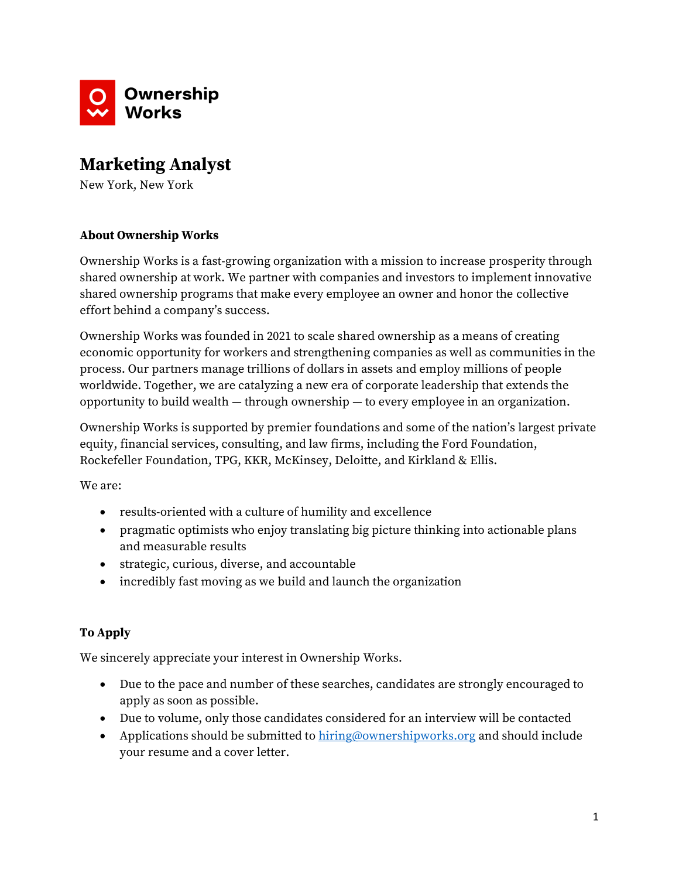

# **Marketing Analyst**

New York, New York

### **About Ownership Works**

Ownership Works is a fast-growing organization with a mission to increase prosperity through shared ownership at work. We partner with companies and investors to implement innovative shared ownership programs that make every employee an owner and honor the collective effort behind a company's success.

Ownership Works was founded in 2021 to scale shared ownership as a means of creating economic opportunity for workers and strengthening companies as well as communities in the process. Our partners manage trillions of dollars in assets and employ millions of people worldwide. Together, we are catalyzing a new era of corporate leadership that extends the opportunity to build wealth — through ownership — to every employee in an organization.

Ownership Works is supported by premier foundations and some of the nation's largest private equity, financial services, consulting, and law firms, including the Ford Foundation, Rockefeller Foundation, TPG, KKR, McKinsey, Deloitte, and Kirkland & Ellis.

We are:

- results-oriented with a culture of humility and excellence
- pragmatic optimists who enjoy translating big picture thinking into actionable plans and measurable results
- strategic, curious, diverse, and accountable
- incredibly fast moving as we build and launch the organization

## **To Apply**

We sincerely appreciate your interest in Ownership Works.

- Due to the pace and number of these searches, candidates are strongly encouraged to apply as soon as possible.
- Due to volume, only those candidates considered for an interview will be contacted
- Applications should be submitted to  $hiring@ownershipworks.org$  and should include your resume and a cover letter.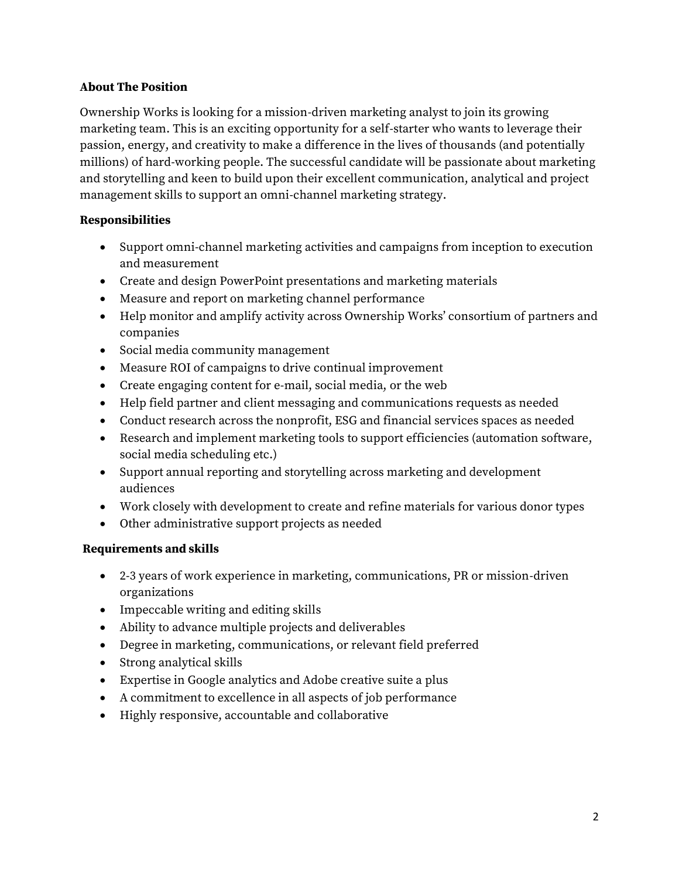### **About The Position**

Ownership Works is looking for a mission-driven marketing analyst to join its growing marketing team. This is an exciting opportunity for a self-starter who wants to leverage their passion, energy, and creativity to make a difference in the lives of thousands (and potentially millions) of hard-working people. The successful candidate will be passionate about marketing and storytelling and keen to build upon their excellent communication, analytical and project management skills to support an omni-channel marketing strategy.

## **Responsibilities**

- Support omni-channel marketing activities and campaigns from inception to execution and measurement
- Create and design PowerPoint presentations and marketing materials
- Measure and report on marketing channel performance
- Help monitor and amplify activity across Ownership Works' consortium of partners and companies
- Social media community management
- Measure ROI of campaigns to drive continual improvement
- Create engaging content for e-mail, social media, or the web
- Help field partner and client messaging and communications requests as needed
- Conduct research across the nonprofit, ESG and financial services spaces as needed
- Research and implement marketing tools to support efficiencies (automation software, social media scheduling etc.)
- Support annual reporting and storytelling across marketing and development audiences
- Work closely with development to create and refine materials for various donor types
- Other administrative support projects as needed

## **Requirements and skills**

- 2-3 years of work experience in marketing, communications, PR or mission-driven organizations
- Impeccable writing and editing skills
- Ability to advance multiple projects and deliverables
- Degree in marketing, communications, or relevant field preferred
- Strong analytical skills
- Expertise in Google analytics and Adobe creative suite a plus
- A commitment to excellence in all aspects of job performance
- Highly responsive, accountable and collaborative